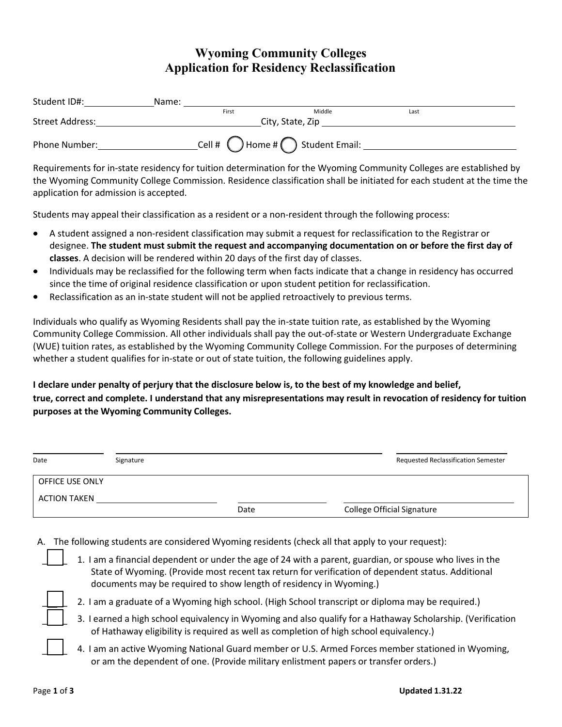## **Wyoming Community Colleges Application for Residency Reclassification**

| Student ID#:    | Name:            |       |                                                                |      |  |  |
|-----------------|------------------|-------|----------------------------------------------------------------|------|--|--|
|                 |                  | First | Middle                                                         | Last |  |  |
| Street Address: | City, State, Zip |       |                                                                |      |  |  |
| Phone Number:   |                  |       | $\text{Cell }$ # $\text{()}$ Home # $\text{()}$ Student Email: |      |  |  |

Requirements for in-state residency for tuition determination for the Wyoming Community Colleges are established by the Wyoming Community College Commission. Residence classification shall be initiated for each student at the time the application for admission is accepted.

Students may appeal their classification as a resident or a non-resident through the following process:

- A student assigned a non-resident classification may submit a request for reclassification to the Registrar or  $\bullet$ designee. **The student must submit the request and accompanying documentation on or before the first day of classes**. A decision will be rendered within 20 days of the first day of classes.
- Individuals may be reclassified for the following term when facts indicate that a change in residency has occurred  $\bullet$ since the time of original residence classification or upon student petition for reclassification.
- Reclassification as an in-state student will not be applied retroactively to previous terms.  $\bullet$

Individuals who qualify as Wyoming Residents shall pay the in-state tuition rate, as established by the Wyoming Community College Commission. All other individuals shall pay the out-of-state or Western Undergraduate Exchange (WUE) tuition rates, as established by the Wyoming Community College Commission. For the purposes of determining whether a student qualifies for in-state or out of state tuition, the following guidelines apply.

I declare under penalty of perjury that the disclosure below is, to the best of my knowledge and belief, **true, correct and complete. I understand that any misrepresentations may result in revocation of residency for tuition purposes at the Wyoming Community Colleges.**

| Date                   | Signature |      | <b>Requested Reclassification Semester</b> |
|------------------------|-----------|------|--------------------------------------------|
| <b>OFFICE USE ONLY</b> |           |      |                                            |
| ACTION TAKEN           |           |      |                                            |
|                        |           | Date | <b>College Official Signature</b>          |

- A. The following students are considered Wyoming residents (check all that apply to your request):
	- 1. I am a financial dependent or under the age of 24 with a parent, guardian, or spouse who lives in the State of Wyoming. (Provide most recent tax return for verification of dependent status. Additional documents may be required to show length of residency in Wyoming.)
	- $\overline{\phantom{a}}$

 $\overline{\phantom{a}}$ 

 $\overline{\phantom{a}}$ 

 $\overline{\phantom{a}}$ 

- 2. I am a graduate of a Wyoming high school. (High School transcript or diploma may be required.)
- 3. I earned a high school equivalency in Wyoming and also qualify for a Hathaway Scholarship. (Verification of Hathaway eligibility is required as well as completion of high school equivalency.)
- 4. I am an active Wyoming National Guard member or U.S. Armed Forces member stationed in Wyoming, or am the dependent of one. (Provide military enlistment papers or transfer orders.)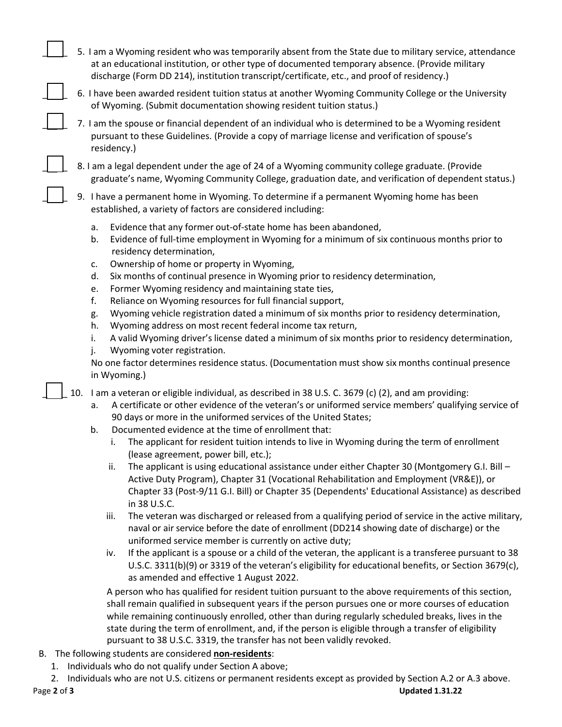- 5. I am a Wyoming resident who was temporarily absent from the State due to military service, attendance at an educational institution, or other type of documented temporary absence. (Provide military discharge (Form DD 214), institution transcript/certificate, etc., and proof of residency.)
- 6. I have been awarded resident tuition status at another Wyoming Community College or the University of Wyoming. (Submit documentation showing resident tuition status.)
- 7. I am the spouse or financial dependent of an individual who is determined to be a Wyoming resident pursuant to these Guidelines. (Provide a copy of marriage license and verification of spouse's residency.)
- 8. I am a legal dependent under the age of 24 of a Wyoming community college graduate. (Provide graduate's name, Wyoming Community College, graduation date, and verification of dependent status.)
- 9. I have a permanent home in Wyoming. To determine if a permanent Wyoming home has been established, a variety of factors are considered including:
	- a. Evidence that any former out-of-state home has been abandoned,
	- b. Evidence of full-time employment in Wyoming for a minimum of six continuous months prior to residency determination,
	- c. Ownership of home or property in Wyoming,
	- d. Six months of continual presence in Wyoming prior to residency determination,
	- e. Former Wyoming residency and maintaining state ties,
	- f. Reliance on Wyoming resources for full financial support,
	- g. Wyoming vehicle registration dated a minimum of six months prior to residency determination,
	- h. Wyoming address on most recent federal income tax return,
	- i. A valid Wyoming driver's license dated a minimum of six months prior to residency determination,
	- j. Wyoming voter registration.

No one factor determines residence status. (Documentation must show six months continual presence in Wyoming.)

10. I am a veteran or eligible individual, as described in 38 U.S. C. 3679 (c) (2), and am providing:

- a. A certificate or other evidence of the veteran's or uniformed service members' qualifying service of 90 days or more in the uniformed services of the United States;
- b. Documented evidence at the time of enrollment that:
	- i. The applicant for resident tuition intends to live in Wyoming during the term of enrollment (lease agreement, power bill, etc.);
	- ii. The applicant is using educational assistance under either Chapter 30 (Montgomery G.I. Bill Active Duty Program), Chapter 31 (Vocational Rehabilitation and Employment (VR&E)), or Chapter 33 (Post-9/11 G.I. Bill) or Chapter 35 (Dependents' Educational Assistance) as described in 38 U.S.C.
	- iii. The veteran was discharged or released from a qualifying period of service in the active military, naval or air service before the date of enrollment (DD214 showing date of discharge) or the uniformed service member is currently on active duty;
	- iv. If the applicant is a spouse or a child of the veteran, the applicant is a transferee pursuant to 38 U.S.C. 3311(b)(9) or 3319 of the veteran's eligibility for educational benefits, or Section 3679(c), as amended and effective 1 August 2022.

A person who has qualified for resident tuition pursuant to the above requirements of this section, shall remain qualified in subsequent years if the person pursues one or more courses of education while remaining continuously enrolled, other than during regularly scheduled breaks, lives in the state during the term of enrollment, and, if the person is eligible through a transfer of eligibility pursuant to 38 U.S.C. 3319, the transfer has not been validly revoked.

- B. The following students are considered **non-residents**:
	- 1. Individuals who do not qualify under Section A above;
	- 2. Individuals who are not U.S. citizens or permanent residents except as provided by Section A.2 or A.3 above.

 $\overline{\phantom{a}}$ 

 $\overline{\phantom{a}}$ 

 $\overline{\phantom{a}}$ 

 $\overline{\phantom{a}}$ 

 $\overline{\phantom{a}}$ 

 $\overline{\phantom{0}}$